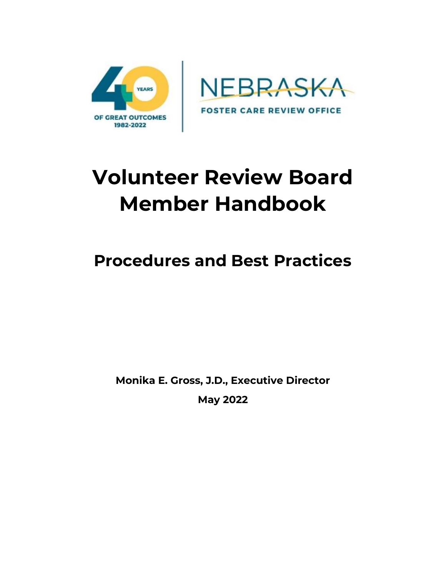



# **Volunteer Review Board Member Handbook**

# **Procedures and Best Practices**

**Monika E. Gross, J.D., Executive Director**

**May 2022**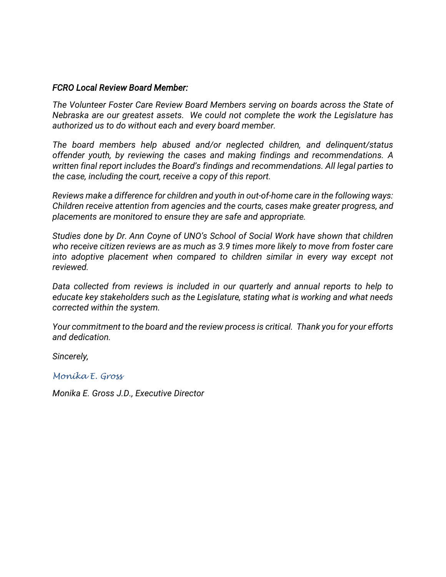#### *FCRO Local Review Board Member:*

*The Volunteer Foster Care Review Board Members serving on boards across the State of Nebraska are our greatest assets. We could not complete the work the Legislature has authorized us to do without each and every board member.* 

*The board members help abused and/or neglected children, and delinquent/status offender youth, by reviewing the cases and making findings and recommendations. A written final report includes the Board's findings and recommendations. All legal parties to the case, including the court, receive a copy of this report.* 

*Reviews make a difference for children and youth in out-of-home care in the following ways: Children receive attention from agencies and the courts, cases make greater progress, and placements are monitored to ensure they are safe and appropriate.* 

*Studies done by Dr. Ann Coyne of UNO's School of Social Work have shown that children who receive citizen reviews are as much as 3.9 times more likely to move from foster care into adoptive placement when compared to children similar in every way except not reviewed.*

*Data collected from reviews is included in our quarterly and annual reports to help to educate key stakeholders such as the Legislature, stating what is working and what needs corrected within the system.* 

*Your commitment to the board and the review process is critical. Thank you for your efforts and dedication.*

*Sincerely,*

*Monika E. Gross*

*Monika E. Gross J.D., Executive Director*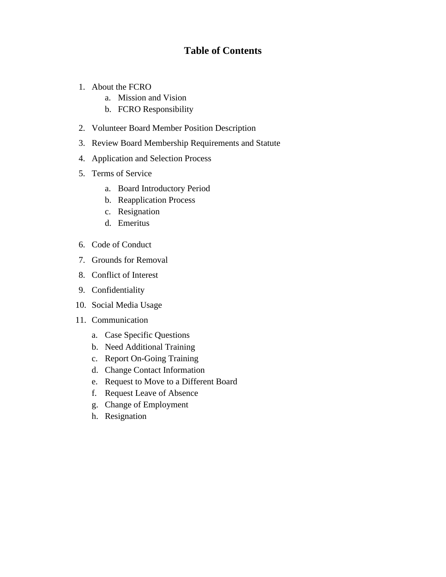### **Table of Contents**

- 1. About the FCRO
	- a. Mission and Vision
	- b. FCRO Responsibility
- 2. Volunteer Board Member Position Description
- 3. Review Board Membership Requirements and Statute
- 4. Application and Selection Process
- 5. Terms of Service
	- a. Board Introductory Period
	- b. Reapplication Process
	- c. Resignation
	- d. Emeritus
- 6. Code of Conduct
- 7. Grounds for Removal
- 8. Conflict of Interest
- 9. Confidentiality
- 10. Social Media Usage
- 11. Communication
	- a. Case Specific Questions
	- b. Need Additional Training
	- c. Report On-Going Training
	- d. Change Contact Information
	- e. Request to Move to a Different Board
	- f. Request Leave of Absence
	- g. Change of Employment
	- h. Resignation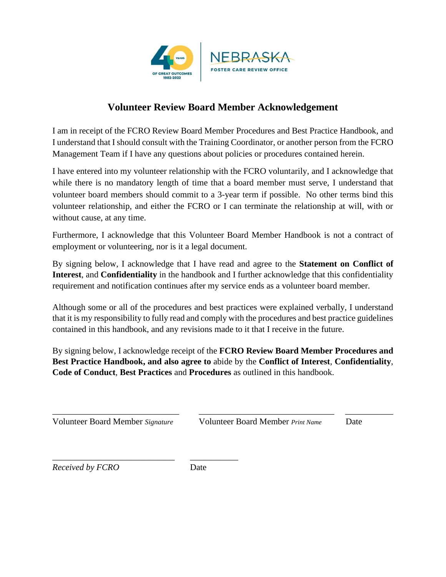

## **Volunteer Review Board Member Acknowledgement**

I am in receipt of the FCRO Review Board Member Procedures and Best Practice Handbook, and I understand that I should consult with the Training Coordinator, or another person from the FCRO Management Team if I have any questions about policies or procedures contained herein.

I have entered into my volunteer relationship with the FCRO voluntarily, and I acknowledge that while there is no mandatory length of time that a board member must serve, I understand that volunteer board members should commit to a 3-year term if possible. No other terms bind this volunteer relationship, and either the FCRO or I can terminate the relationship at will, with or without cause, at any time.

Furthermore, I acknowledge that this Volunteer Board Member Handbook is not a contract of employment or volunteering, nor is it a legal document.

By signing below, I acknowledge that I have read and agree to the **Statement on Conflict of Interest**, and **Confidentiality** in the handbook and I further acknowledge that this confidentiality requirement and notification continues after my service ends as a volunteer board member.

Although some or all of the procedures and best practices were explained verbally, I understand that it is my responsibility to fully read and comply with the procedures and best practice guidelines contained in this handbook, and any revisions made to it that I receive in the future.

By signing below, I acknowledge receipt of the **FCRO Review Board Member Procedures and Best Practice Handbook, and also agree to** abide by the **Conflict of Interest**, **Confidentiality**, **Code of Conduct**, **Best Practices** and **Procedures** as outlined in this handbook.

\_\_\_\_\_\_\_\_\_\_\_\_\_\_\_\_\_\_\_\_\_\_\_\_\_\_\_\_\_ \_\_\_\_\_\_\_\_\_\_\_\_\_\_\_\_\_\_\_\_\_\_\_\_\_\_\_\_\_\_\_ \_\_\_\_\_\_\_\_\_\_\_

\_\_\_\_\_\_\_\_\_\_\_\_\_\_\_\_\_\_\_\_\_\_\_\_\_\_\_\_ \_\_\_\_\_\_\_\_\_\_\_

Volunteer Board Member *Signature* Volunteer Board Member *Print Name* Date

*Received by FCRO* Date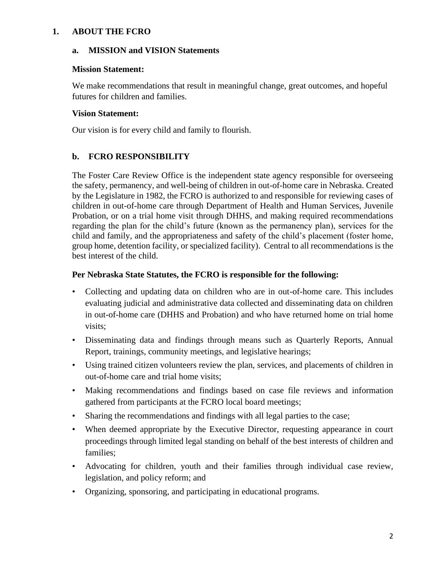#### **1. ABOUT THE FCRO**

#### **a. MISSION and VISION Statements**

#### **Mission Statement:**

We make recommendations that result in meaningful change, great outcomes, and hopeful futures for children and families.

#### **Vision Statement:**

Our vision is for every child and family to flourish.

#### **b. FCRO RESPONSIBILITY**

The Foster Care Review Office is the independent state agency responsible for overseeing the safety, permanency, and well-being of children in out-of-home care in Nebraska. Created by the Legislature in 1982, the FCRO is authorized to and responsible for reviewing cases of children in out-of-home care through Department of Health and Human Services, Juvenile Probation, or on a trial home visit through DHHS, and making required recommendations regarding the plan for the child's future (known as the permanency plan), services for the child and family, and the appropriateness and safety of the child's placement (foster home, group home, detention facility, or specialized facility). Central to all recommendations is the best interest of the child.

#### **Per Nebraska State Statutes, the FCRO is responsible for the following:**

- Collecting and updating data on children who are in out-of-home care. This includes evaluating judicial and administrative data collected and disseminating data on children in out-of-home care (DHHS and Probation) and who have returned home on trial home visits;
- Disseminating data and findings through means such as Quarterly Reports, Annual Report, trainings, community meetings, and legislative hearings;
- Using trained citizen volunteers review the plan, services, and placements of children in out-of-home care and trial home visits;
- Making recommendations and findings based on case file reviews and information gathered from participants at the FCRO local board meetings;
- Sharing the recommendations and findings with all legal parties to the case;
- When deemed appropriate by the Executive Director, requesting appearance in court proceedings through limited legal standing on behalf of the best interests of children and families;
- Advocating for children, youth and their families through individual case review, legislation, and policy reform; and
- Organizing, sponsoring, and participating in educational programs.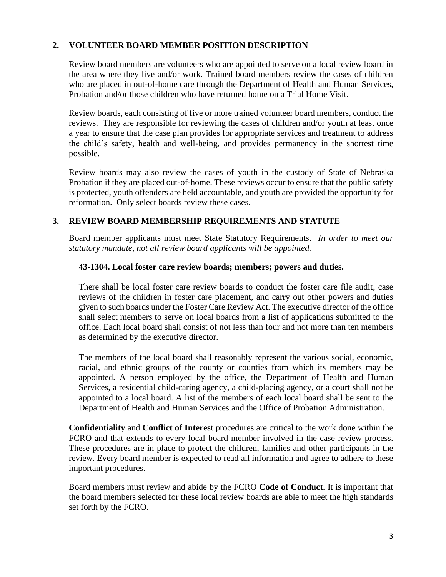#### **2. VOLUNTEER BOARD MEMBER POSITION DESCRIPTION**

Review board members are volunteers who are appointed to serve on a local review board in the area where they live and/or work. Trained board members review the cases of children who are placed in out-of-home care through the Department of Health and Human Services, Probation and/or those children who have returned home on a Trial Home Visit.

Review boards, each consisting of five or more trained volunteer board members, conduct the reviews. They are responsible for reviewing the cases of children and/or youth at least once a year to ensure that the case plan provides for appropriate services and treatment to address the child's safety, health and well-being, and provides permanency in the shortest time possible.

Review boards may also review the cases of youth in the custody of State of Nebraska Probation if they are placed out-of-home. These reviews occur to ensure that the public safety is protected, youth offenders are held accountable, and youth are provided the opportunity for reformation. Only select boards review these cases.

#### **3. REVIEW BOARD MEMBERSHIP REQUIREMENTS AND STATUTE**

Board member applicants must meet State Statutory Requirements. *In order to meet our statutory mandate, not all review board applicants will be appointed.*

#### **43-1304. Local foster care review boards; members; powers and duties.**

There shall be local foster care review boards to conduct the foster care file audit, case reviews of the children in foster care placement, and carry out other powers and duties given to such boards under the Foster Care Review Act. The executive director of the office shall select members to serve on local boards from a list of applications submitted to the office. Each local board shall consist of not less than four and not more than ten members as determined by the executive director.

The members of the local board shall reasonably represent the various social, economic, racial, and ethnic groups of the county or counties from which its members may be appointed. A person employed by the office, the Department of Health and Human Services, a residential child-caring agency, a child-placing agency, or a court shall not be appointed to a local board. A list of the members of each local board shall be sent to the Department of Health and Human Services and the Office of Probation Administration.

**Confidentiality** and **Conflict of Interes**t procedures are critical to the work done within the FCRO and that extends to every local board member involved in the case review process. These procedures are in place to protect the children, families and other participants in the review. Every board member is expected to read all information and agree to adhere to these important procedures.

Board members must review and abide by the FCRO **Code of Conduct**. It is important that the board members selected for these local review boards are able to meet the high standards set forth by the FCRO.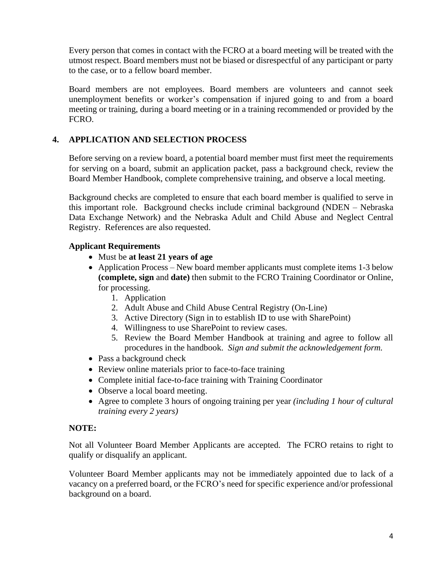Every person that comes in contact with the FCRO at a board meeting will be treated with the utmost respect. Board members must not be biased or disrespectful of any participant or party to the case, or to a fellow board member.

Board members are not employees. Board members are volunteers and cannot seek unemployment benefits or worker's compensation if injured going to and from a board meeting or training, during a board meeting or in a training recommended or provided by the FCRO.

#### **4. APPLICATION AND SELECTION PROCESS**

Before serving on a review board, a potential board member must first meet the requirements for serving on a board, submit an application packet, pass a background check, review the Board Member Handbook, complete comprehensive training, and observe a local meeting.

Background checks are completed to ensure that each board member is qualified to serve in this important role. Background checks include criminal background (NDEN – Nebraska Data Exchange Network) and the Nebraska Adult and Child Abuse and Neglect Central Registry. References are also requested.

#### **Applicant Requirements**

- Must be **at least 21 years of age**
- Application Process New board member applicants must complete items 1-3 below **(complete, sign** and **date)** then submit to the FCRO Training Coordinator or Online, for processing.
	- 1. Application
	- 2. Adult Abuse and Child Abuse Central Registry (On-Line)
	- 3. Active Directory (Sign in to establish ID to use with SharePoint)
	- 4. Willingness to use SharePoint to review cases.
	- 5. Review the Board Member Handbook at training and agree to follow all procedures in the handbook. *Sign and submit the acknowledgement form.*
- Pass a background check
- Review online materials prior to face-to-face training
- Complete initial face-to-face training with Training Coordinator
- Observe a local board meeting.
- Agree to complete 3 hours of ongoing training per year *(including 1 hour of cultural training every 2 years)*

#### **NOTE:**

Not all Volunteer Board Member Applicants are accepted. The FCRO retains to right to qualify or disqualify an applicant.

Volunteer Board Member applicants may not be immediately appointed due to lack of a vacancy on a preferred board, or the FCRO's need for specific experience and/or professional background on a board.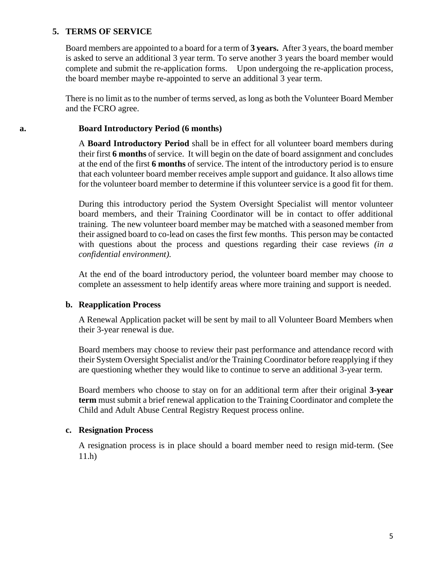#### **5. TERMS OF SERVICE**

Board members are appointed to a board for a term of **3 years.** After 3 years, the board member is asked to serve an additional 3 year term. To serve another 3 years the board member would complete and submit the re-application forms. Upon undergoing the re-application process, the board member maybe re-appointed to serve an additional 3 year term.

There is no limit as to the number of terms served, as long as both the Volunteer Board Member and the FCRO agree.

#### **a. Board Introductory Period (6 months)**

A **Board Introductory Period** shall be in effect for all volunteer board members during their first **6 months** of service. It will begin on the date of board assignment and concludes at the end of the first **6 months** of service. The intent of the introductory period is to ensure that each volunteer board member receives ample support and guidance. It also allows time for the volunteer board member to determine if this volunteer service is a good fit for them.

During this introductory period the System Oversight Specialist will mentor volunteer board members, and their Training Coordinator will be in contact to offer additional training. The new volunteer board member may be matched with a seasoned member from their assigned board to co-lead on cases the first few months. This person may be contacted with questions about the process and questions regarding their case reviews *(in a confidential environment).* 

At the end of the board introductory period, the volunteer board member may choose to complete an assessment to help identify areas where more training and support is needed.

#### **b. Reapplication Process**

A Renewal Application packet will be sent by mail to all Volunteer Board Members when their 3-year renewal is due.

Board members may choose to review their past performance and attendance record with their System Oversight Specialist and/or the Training Coordinator before reapplying if they are questioning whether they would like to continue to serve an additional 3-year term.

Board members who choose to stay on for an additional term after their original **3-year term** must submit a brief renewal application to the Training Coordinator and complete the Child and Adult Abuse Central Registry Request process online.

#### **c. Resignation Process**

A resignation process is in place should a board member need to resign mid-term. (See 11.h)

5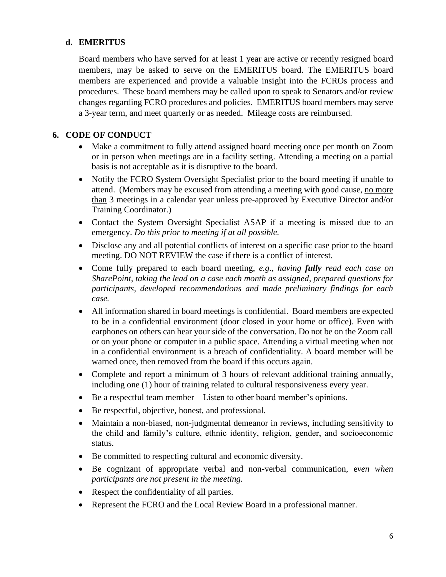#### **d. EMERITUS**

Board members who have served for at least 1 year are active or recently resigned board members, may be asked to serve on the EMERITUS board. The EMERITUS board members are experienced and provide a valuable insight into the FCROs process and procedures. These board members may be called upon to speak to Senators and/or review changes regarding FCRO procedures and policies. EMERITUS board members may serve a 3-year term, and meet quarterly or as needed. Mileage costs are reimbursed.

#### **6. CODE OF CONDUCT**

- Make a commitment to fully attend assigned board meeting once per month on Zoom or in person when meetings are in a facility setting. Attending a meeting on a partial basis is not acceptable as it is disruptive to the board.
- Notify the FCRO System Oversight Specialist prior to the board meeting if unable to attend. (Members may be excused from attending a meeting with good cause, no more than 3 meetings in a calendar year unless pre-approved by Executive Director and/or Training Coordinator.)
- Contact the System Oversight Specialist ASAP if a meeting is missed due to an emergency. *Do this prior to meeting if at all possible.*
- Disclose any and all potential conflicts of interest on a specific case prior to the board meeting. DO NOT REVIEW the case if there is a conflict of interest.
- Come fully prepared to each board meeting, e.g., *having fully read each case on SharePoint, taking the lead on a case each month as assigned, prepared questions for participants, developed recommendations and made preliminary findings for each case.*
- All information shared in board meetings is confidential. Board members are expected to be in a confidential environment (door closed in your home or office). Even with earphones on others can hear your side of the conversation. Do not be on the Zoom call or on your phone or computer in a public space. Attending a virtual meeting when not in a confidential environment is a breach of confidentiality. A board member will be warned once, then removed from the board if this occurs again.
- Complete and report a minimum of 3 hours of relevant additional training annually, including one (1) hour of training related to cultural responsiveness every year.
- Be a respectful team member Listen to other board member's opinions.
- Be respectful, objective, honest, and professional.
- Maintain a non-biased, non-judgmental demeanor in reviews, including sensitivity to the child and family's culture, ethnic identity, religion, gender, and socioeconomic status.
- Be committed to respecting cultural and economic diversity.
- Be cognizant of appropriate verbal and non-verbal communication, e*ven when participants are not present in the meeting.*
- Respect the confidentiality of all parties.
- Represent the FCRO and the Local Review Board in a professional manner.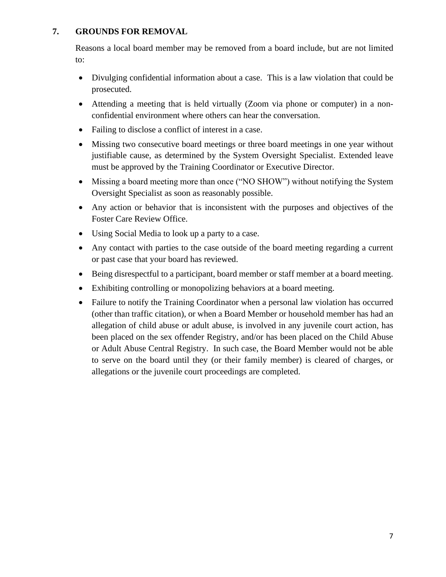#### **7. GROUNDS FOR REMOVAL**

Reasons a local board member may be removed from a board include, but are not limited to:

- Divulging confidential information about a case. This is a law violation that could be prosecuted.
- Attending a meeting that is held virtually (Zoom via phone or computer) in a nonconfidential environment where others can hear the conversation.
- Failing to disclose a conflict of interest in a case.
- Missing two consecutive board meetings or three board meetings in one year without justifiable cause, as determined by the System Oversight Specialist. Extended leave must be approved by the Training Coordinator or Executive Director.
- Missing a board meeting more than once ("NO SHOW") without notifying the System Oversight Specialist as soon as reasonably possible.
- Any action or behavior that is inconsistent with the purposes and objectives of the Foster Care Review Office.
- Using Social Media to look up a party to a case.
- Any contact with parties to the case outside of the board meeting regarding a current or past case that your board has reviewed.
- Being disrespectful to a participant, board member or staff member at a board meeting.
- Exhibiting controlling or monopolizing behaviors at a board meeting.
- Failure to notify the Training Coordinator when a personal law violation has occurred (other than traffic citation), or when a Board Member or household member has had an allegation of child abuse or adult abuse, is involved in any juvenile court action, has been placed on the sex offender Registry, and/or has been placed on the Child Abuse or Adult Abuse Central Registry. In such case, the Board Member would not be able to serve on the board until they (or their family member) is cleared of charges, or allegations or the juvenile court proceedings are completed.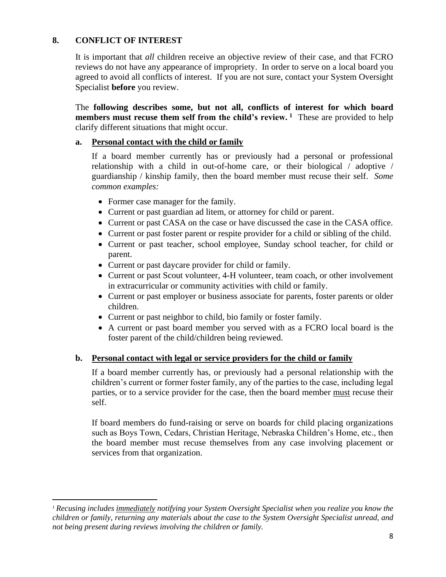#### **8. CONFLICT OF INTEREST**

It is important that *all* children receive an objective review of their case, and that FCRO reviews do not have any appearance of impropriety. In order to serve on a local board you agreed to avoid all conflicts of interest. If you are not sure, contact your System Oversight Specialist **before** you review.

The **following describes some, but not all, conflicts of interest for which board members must recuse them self from the child's review. <sup>1</sup>** These are provided to help clarify different situations that might occur.

#### **a. Personal contact with the child or family**

If a board member currently has or previously had a personal or professional relationship with a child in out-of-home care, or their biological / adoptive / guardianship / kinship family, then the board member must recuse their self. *Some common examples:*

- Former case manager for the family.
- Current or past guardian ad litem, or attorney for child or parent.
- Current or past CASA on the case or have discussed the case in the CASA office.
- Current or past foster parent or respite provider for a child or sibling of the child.
- Current or past teacher, school employee, Sunday school teacher, for child or parent.
- Current or past daycare provider for child or family.
- Current or past Scout volunteer, 4-H volunteer, team coach, or other involvement in extracurricular or community activities with child or family.
- Current or past employer or business associate for parents, foster parents or older children.
- Current or past neighbor to child, bio family or foster family.
- A current or past board member you served with as a FCRO local board is the foster parent of the child/children being reviewed.

#### **b. Personal contact with legal or service providers for the child or family**

If a board member currently has, or previously had a personal relationship with the children's current or former foster family, any of the parties to the case, including legal parties, or to a service provider for the case, then the board member must recuse their self.

If board members do fund-raising or serve on boards for child placing organizations such as Boys Town, Cedars, Christian Heritage, Nebraska Children's Home, etc., then the board member must recuse themselves from any case involving placement or services from that organization.

*<sup>1</sup> Recusing includes immediately notifying your System Oversight Specialist when you realize you know the children or family, returning any materials about the case to the System Oversight Specialist unread, and not being present during reviews involving the children or family.*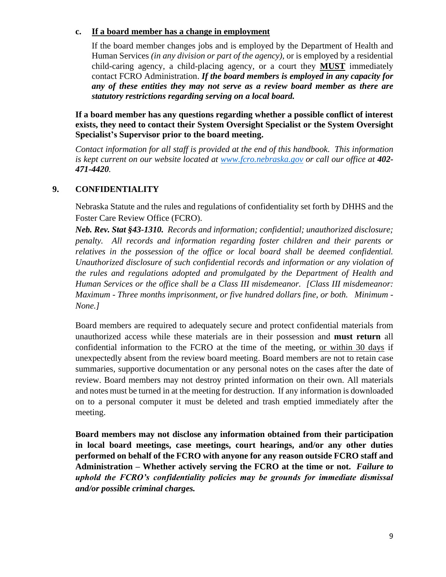#### **c. If a board member has a change in employment**

If the board member changes jobs and is employed by the Department of Health and Human Services *(in any division or part of the agency)*, or is employed by a residential child-caring agency, a child-placing agency, or a court they **MUST** immediately contact FCRO Administration. *If the board members is employed in any capacity for any of these entities they may not serve as a review board member as there are statutory restrictions regarding serving on a local board.* 

**If a board member has any questions regarding whether a possible conflict of interest exists, they need to contact their System Oversight Specialist or the System Oversight Specialist's Supervisor prior to the board meeting.** 

*Contact information for all staff is provided at the end of this handbook. This information is kept current on our website located at [www.fcro.nebraska.gov](http://www.fcro.nebraska.gov/) or call our office at 402- 471-4420.* 

#### **9. CONFIDENTIALITY**

Nebraska Statute and the rules and regulations of confidentiality set forth by DHHS and the Foster Care Review Office (FCRO).

*Neb. Rev. Stat §43-1310. Records and information; confidential; unauthorized disclosure; penalty. All records and information regarding foster children and their parents or relatives in the possession of the office or local board shall be deemed confidential. Unauthorized disclosure of such confidential records and information or any violation of the rules and regulations adopted and promulgated by the Department of Health and Human Services or the office shall be a Class III misdemeanor. [Class III misdemeanor: Maximum - Three months imprisonment, or five hundred dollars fine, or both. Minimum* - *None.]*

Board members are required to adequately secure and protect confidential materials from unauthorized access while these materials are in their possession and **must return** all confidential information to the FCRO at the time of the meeting, or within 30 days if unexpectedly absent from the review board meeting. Board members are not to retain case summaries, supportive documentation or any personal notes on the cases after the date of review. Board members may not destroy printed information on their own. All materials and notes must be turned in at the meeting for destruction. If any information is downloaded on to a personal computer it must be deleted and trash emptied immediately after the meeting.

**Board members may not disclose any information obtained from their participation in local board meetings, case meetings, court hearings, and/or any other duties performed on behalf of the FCRO with anyone for any reason outside FCRO staff and Administration – Whether actively serving the FCRO at the time or not.** *Failure to uphold the FCRO's confidentiality policies may be grounds for immediate dismissal and/or possible criminal charges.*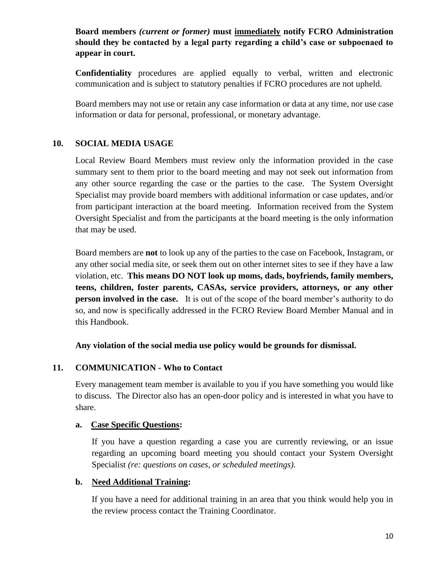#### **Board members** *(current or former)* **must immediately notify FCRO Administration should they be contacted by a legal party regarding a child's case or subpoenaed to appear in court.**

**Confidentiality** procedures are applied equally to verbal, written and electronic communication and is subject to statutory penalties if FCRO procedures are not upheld.

Board members may not use or retain any case information or data at any time, nor use case information or data for personal, professional, or monetary advantage.

#### **10. SOCIAL MEDIA USAGE**

Local Review Board Members must review only the information provided in the case summary sent to them prior to the board meeting and may not seek out information from any other source regarding the case or the parties to the case. The System Oversight Specialist may provide board members with additional information or case updates, and/or from participant interaction at the board meeting. Information received from the System Oversight Specialist and from the participants at the board meeting is the only information that may be used.

Board members are **not** to look up any of the parties to the case on Facebook, Instagram, or any other social media site, or seek them out on other internet sites to see if they have a law violation, etc. **This means DO NOT look up moms, dads, boyfriends, family members, teens, children, foster parents, CASAs, service providers, attorneys, or any other person involved in the case.** It is out of the scope of the board member's authority to do so, and now is specifically addressed in the FCRO Review Board Member Manual and in this Handbook.

**Any violation of the social media use policy would be grounds for dismissal.**

#### **11. COMMUNICATION - Who to Contact**

Every management team member is available to you if you have something you would like to discuss. The Director also has an open-door policy and is interested in what you have to share.

#### **a. Case Specific Questions:**

If you have a question regarding a case you are currently reviewing, or an issue regarding an upcoming board meeting you should contact your System Oversight Specialist *(re: questions on cases, or scheduled meetings).*

#### **b. Need Additional Training:**

If you have a need for additional training in an area that you think would help you in the review process contact the Training Coordinator.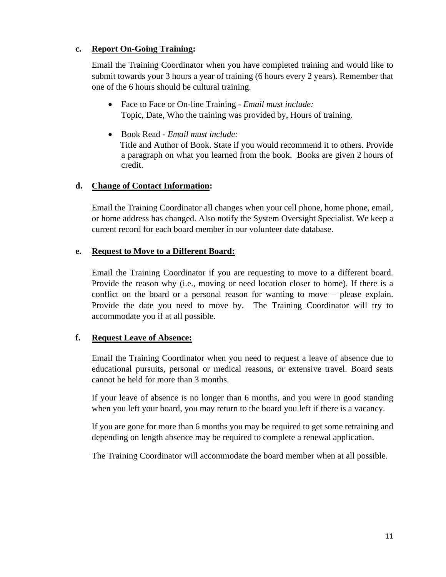#### **c. Report On-Going Training:**

Email the Training Coordinator when you have completed training and would like to submit towards your 3 hours a year of training (6 hours every 2 years). Remember that one of the 6 hours should be cultural training.

- Face to Face or On-line Training *Email must include:* Topic, Date, Who the training was provided by, Hours of training.
- Book Read *Email must include:* Title and Author of Book. State if you would recommend it to others. Provide a paragraph on what you learned from the book. Books are given 2 hours of credit.

#### **d. Change of Contact Information:**

Email the Training Coordinator all changes when your cell phone, home phone, email, or home address has changed. Also notify the System Oversight Specialist. We keep a current record for each board member in our volunteer date database.

#### **e. Request to Move to a Different Board:**

Email the Training Coordinator if you are requesting to move to a different board. Provide the reason why (i.e., moving or need location closer to home). If there is a conflict on the board or a personal reason for wanting to move – please explain. Provide the date you need to move by. The Training Coordinator will try to accommodate you if at all possible.

#### **f. Request Leave of Absence:**

Email the Training Coordinator when you need to request a leave of absence due to educational pursuits, personal or medical reasons, or extensive travel. Board seats cannot be held for more than 3 months.

If your leave of absence is no longer than 6 months, and you were in good standing when you left your board, you may return to the board you left if there is a vacancy.

If you are gone for more than 6 months you may be required to get some retraining and depending on length absence may be required to complete a renewal application.

The Training Coordinator will accommodate the board member when at all possible.